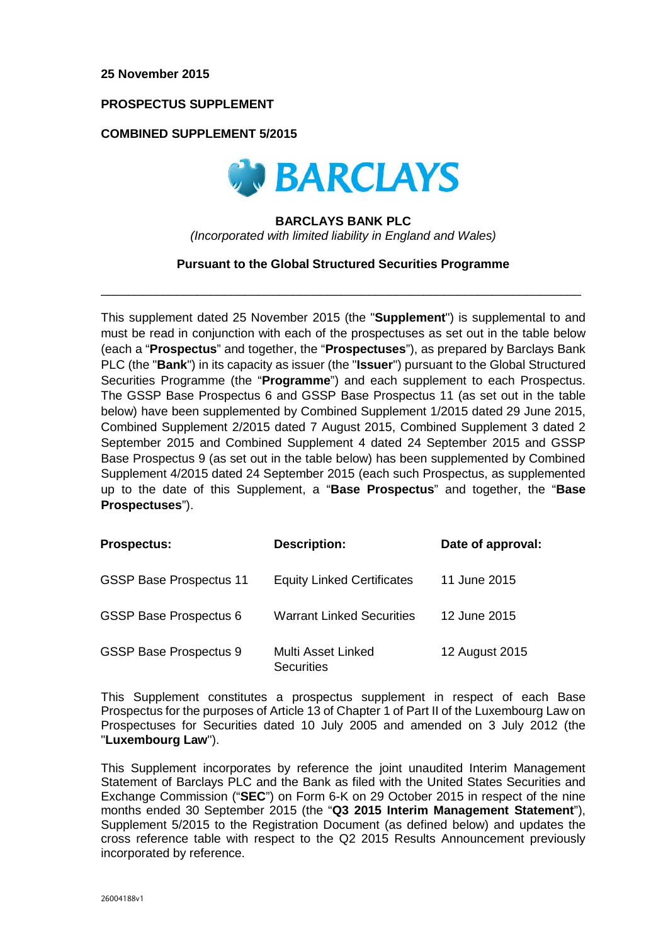# **PROSPECTUS SUPPLEMENT**

## **COMBINED SUPPLEMENT 5/2015**



#### **BARCLAYS BANK PLC**

*(Incorporated with limited liability in England and Wales)*

## **Pursuant to the Global Structured Securities Programme**

\_\_\_\_\_\_\_\_\_\_\_\_\_\_\_\_\_\_\_\_\_\_\_\_\_\_\_\_\_\_\_\_\_\_\_\_\_\_\_\_\_\_\_\_\_\_\_\_\_\_\_\_\_\_\_\_\_\_\_\_\_\_\_\_\_\_\_\_\_\_

This supplement dated 25 November 2015 (the "**Supplement**") is supplemental to and must be read in conjunction with each of the prospectuses as set out in the table below (each a "**Prospectus**" and together, the "**Prospectuses**"), as prepared by Barclays Bank PLC (the "**Bank**") in its capacity as issuer (the "**Issuer**") pursuant to the Global Structured Securities Programme (the "**Programme**") and each supplement to each Prospectus. The GSSP Base Prospectus 6 and GSSP Base Prospectus 11 (as set out in the table below) have been supplemented by Combined Supplement 1/2015 dated 29 June 2015, Combined Supplement 2/2015 dated 7 August 2015, Combined Supplement 3 dated 2 September 2015 and Combined Supplement 4 dated 24 September 2015 and GSSP Base Prospectus 9 (as set out in the table below) has been supplemented by Combined Supplement 4/2015 dated 24 September 2015 (each such Prospectus, as supplemented up to the date of this Supplement, a "**Base Prospectus**" and together, the "**Base Prospectuses**").

| <b>Prospectus:</b>             | <b>Description:</b>                     | Date of approval: |
|--------------------------------|-----------------------------------------|-------------------|
| <b>GSSP Base Prospectus 11</b> | <b>Equity Linked Certificates</b>       | 11 June 2015      |
| <b>GSSP Base Prospectus 6</b>  | <b>Warrant Linked Securities</b>        | 12 June 2015      |
| <b>GSSP Base Prospectus 9</b>  | Multi Asset Linked<br><b>Securities</b> | 12 August 2015    |

This Supplement constitutes a prospectus supplement in respect of each Base Prospectus for the purposes of Article 13 of Chapter 1 of Part II of the Luxembourg Law on Prospectuses for Securities dated 10 July 2005 and amended on 3 July 2012 (the "**Luxembourg Law**").

This Supplement incorporates by reference the joint unaudited Interim Management Statement of Barclays PLC and the Bank as filed with the United States Securities and Exchange Commission ("**SEC**") on Form 6-K on 29 October 2015 in respect of the nine months ended 30 September 2015 (the "**Q3 2015 Interim Management Statement**"), Supplement 5/2015 to the Registration Document (as defined below) and updates the cross reference table with respect to the Q2 2015 Results Announcement previously incorporated by reference.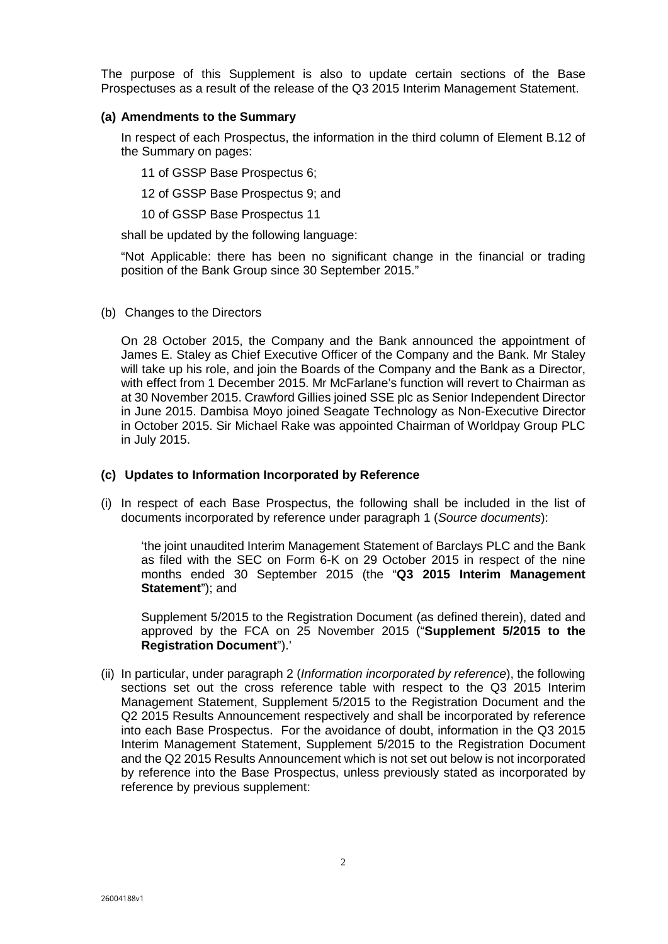The purpose of this Supplement is also to update certain sections of the Base Prospectuses as a result of the release of the Q3 2015 Interim Management Statement.

## **(a) Amendments to the Summary**

In respect of each Prospectus, the information in the third column of Element B.12 of the Summary on pages:

11 of GSSP Base Prospectus 6;

12 of GSSP Base Prospectus 9; and

10 of GSSP Base Prospectus 11

shall be updated by the following language:

"Not Applicable: there has been no significant change in the financial or trading position of the Bank Group since 30 September 2015."

(b) Changes to the Directors

On 28 October 2015, the Company and the Bank announced the appointment of James E. Staley as Chief Executive Officer of the Company and the Bank. Mr Staley will take up his role, and join the Boards of the Company and the Bank as a Director, with effect from 1 December 2015. Mr McFarlane's function will revert to Chairman as at 30 November 2015. Crawford Gillies joined SSE plc as Senior Independent Director in June 2015. Dambisa Moyo joined Seagate Technology as Non-Executive Director in October 2015. Sir Michael Rake was appointed Chairman of Worldpay Group PLC in July 2015.

# **(c) Updates to Information Incorporated by Reference**

(i) In respect of each Base Prospectus, the following shall be included in the list of documents incorporated by reference under paragraph 1 (*Source documents*):

'the joint unaudited Interim Management Statement of Barclays PLC and the Bank as filed with the SEC on Form 6-K on 29 October 2015 in respect of the nine months ended 30 September 2015 (the "**Q3 2015 Interim Management Statement**"); and

Supplement 5/2015 to the Registration Document (as defined therein), dated and approved by the FCA on 25 November 2015 ("**Supplement 5/2015 to the Registration Document**").'

(ii) In particular, under paragraph 2 (*Information incorporated by reference*), the following sections set out the cross reference table with respect to the Q3 2015 Interim Management Statement, Supplement 5/2015 to the Registration Document and the Q2 2015 Results Announcement respectively and shall be incorporated by reference into each Base Prospectus. For the avoidance of doubt, information in the Q3 2015 Interim Management Statement, Supplement 5/2015 to the Registration Document and the Q2 2015 Results Announcement which is not set out below is not incorporated by reference into the Base Prospectus, unless previously stated as incorporated by reference by previous supplement: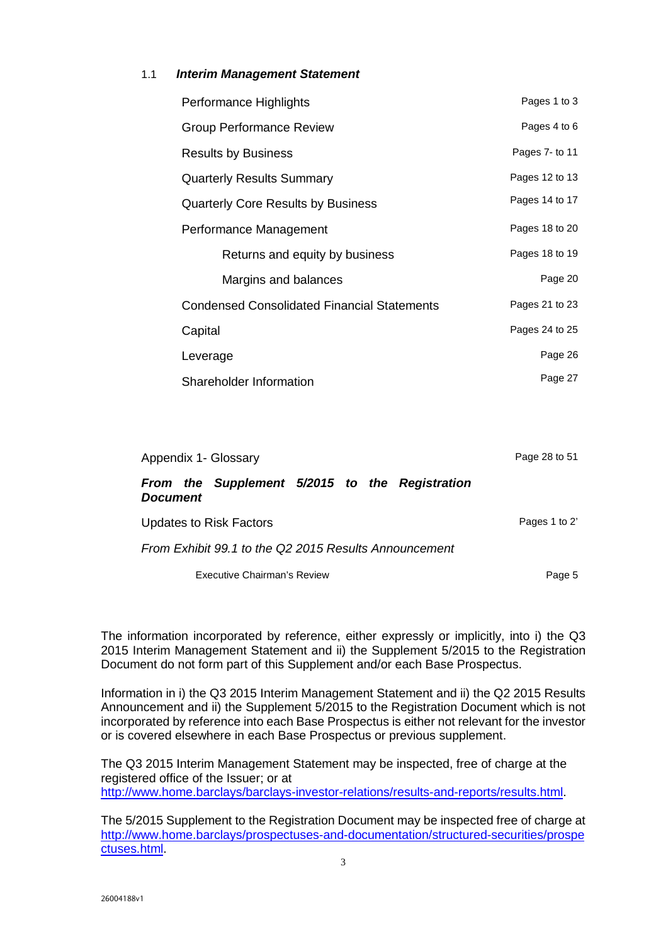# 1.1 *Interim Management Statement*

| Performance Highlights                      | Pages 1 to 3   |
|---------------------------------------------|----------------|
| Group Performance Review                    | Pages 4 to 6   |
| <b>Results by Business</b>                  | Pages 7- to 11 |
| <b>Quarterly Results Summary</b>            | Pages 12 to 13 |
| <b>Quarterly Core Results by Business</b>   | Pages 14 to 17 |
| Performance Management                      | Pages 18 to 20 |
| Returns and equity by business              | Pages 18 to 19 |
| Margins and balances                        | Page 20        |
| Condensed Consolidated Financial Statements | Pages 21 to 23 |
| Capital                                     | Pages 24 to 25 |
| Leverage                                    | Page 26        |
| Shareholder Information                     | Page 27        |

| Appendix 1- Glossary                                              | Page 28 to 51 |
|-------------------------------------------------------------------|---------------|
| From the Supplement 5/2015 to the Registration<br><b>Document</b> |               |
| Updates to Risk Factors                                           | Pages 1 to 2' |
| From Exhibit 99.1 to the Q2 2015 Results Announcement             |               |
| Executive Chairman's Review                                       | Page 5        |

The information incorporated by reference, either expressly or implicitly, into i) the Q3 2015 Interim Management Statement and ii) the Supplement 5/2015 to the Registration Document do not form part of this Supplement and/or each Base Prospectus.

Information in i) the Q3 2015 Interim Management Statement and ii) the Q2 2015 Results Announcement and ii) the Supplement 5/2015 to the Registration Document which is not incorporated by reference into each Base Prospectus is either not relevant for the investor or is covered elsewhere in each Base Prospectus or previous supplement.

The Q3 2015 Interim Management Statement may be inspected, free of charge at the registered office of the Issuer; or at http://www.home.barclays/barclays-investor-relations/results-and-reports/results.html.

The 5/2015 Supplement to the Registration Document may be inspected free of charge at http://www.home.barclays/prospectuses-and-documentation/structured-securities/prospe ctuses.html.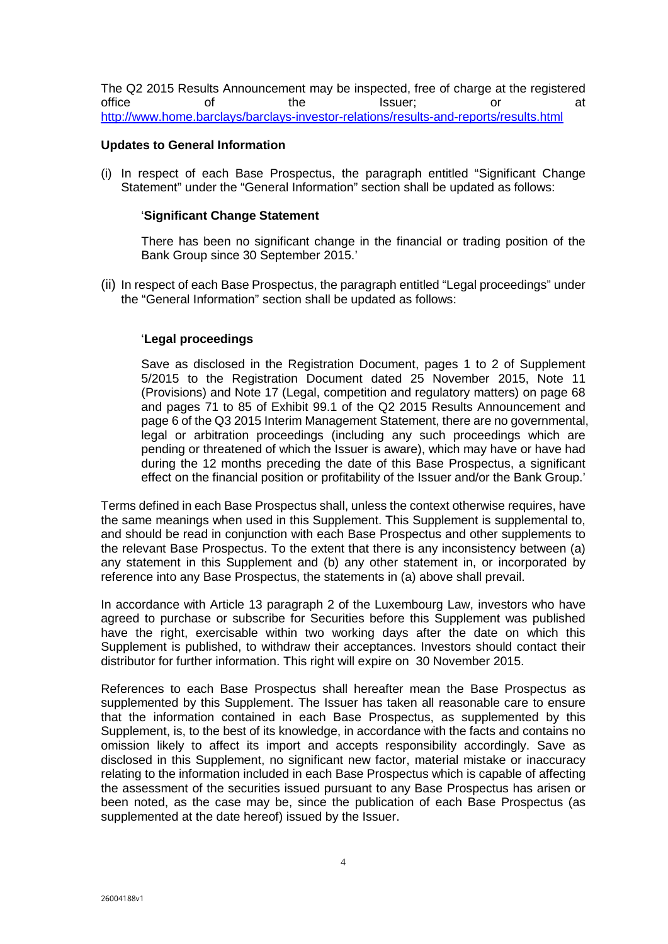The Q2 2015 Results Announcement may be inspected, free of charge at the registered office of the Issuer; or at http://www.home.barclays/barclays-investor-relations/results-and-reports/results.html

## **Updates to General Information**

(i) In respect of each Base Prospectus, the paragraph entitled "Significant Change Statement" under the "General Information" section shall be updated as follows:

## '**Significant Change Statement**

There has been no significant change in the financial or trading position of the Bank Group since 30 September 2015.'

(ii) In respect of each Base Prospectus, the paragraph entitled "Legal proceedings" under the "General Information" section shall be updated as follows:

# '**Legal proceedings**

Save as disclosed in the Registration Document, pages 1 to 2 of Supplement 5/2015 to the Registration Document dated 25 November 2015, Note 11 (Provisions) and Note 17 (Legal, competition and regulatory matters) on page 68 and pages 71 to 85 of Exhibit 99.1 of the Q2 2015 Results Announcement and page 6 of the Q3 2015 Interim Management Statement, there are no governmental, legal or arbitration proceedings (including any such proceedings which are pending or threatened of which the Issuer is aware), which may have or have had during the 12 months preceding the date of this Base Prospectus, a significant effect on the financial position or profitability of the Issuer and/or the Bank Group.'

Terms defined in each Base Prospectus shall, unless the context otherwise requires, have the same meanings when used in this Supplement. This Supplement is supplemental to, and should be read in conjunction with each Base Prospectus and other supplements to the relevant Base Prospectus. To the extent that there is any inconsistency between (a) any statement in this Supplement and (b) any other statement in, or incorporated by reference into any Base Prospectus, the statements in (a) above shall prevail.

In accordance with Article 13 paragraph 2 of the Luxembourg Law, investors who have agreed to purchase or subscribe for Securities before this Supplement was published have the right, exercisable within two working days after the date on which this Supplement is published, to withdraw their acceptances. Investors should contact their distributor for further information. This right will expire on 30 November 2015.

References to each Base Prospectus shall hereafter mean the Base Prospectus as supplemented by this Supplement. The Issuer has taken all reasonable care to ensure that the information contained in each Base Prospectus, as supplemented by this Supplement, is, to the best of its knowledge, in accordance with the facts and contains no omission likely to affect its import and accepts responsibility accordingly. Save as disclosed in this Supplement, no significant new factor, material mistake or inaccuracy relating to the information included in each Base Prospectus which is capable of affecting the assessment of the securities issued pursuant to any Base Prospectus has arisen or been noted, as the case may be, since the publication of each Base Prospectus (as supplemented at the date hereof) issued by the Issuer.